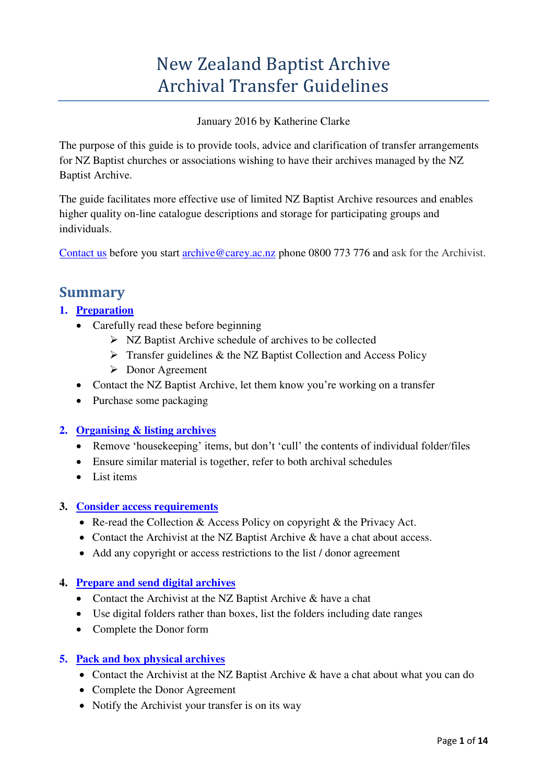# New Zealand Baptist Archive Archival Transfer Guidelines

#### January 2016 by Katherine Clarke

The purpose of this guide is to provide tools, advice and clarification of transfer arrangements for NZ Baptist churches or associations wishing to have their archives managed by the NZ Baptist Archive.

The guide facilitates more effective use of limited NZ Baptist Archive resources and enables higher quality on-line catalogue descriptions and storage for participating groups and individuals.

<span id="page-0-0"></span>[Contact us](http://carey.ac.nz/nz-baptist-archive/) before you start [archive@carey.ac.nz](mailto:archive@carey.ac.nz) phone 0800 773 776 and ask for the Archivist.

## **Summary**

### **1. [Preparation](#page-1-0)**

- Carefully read these before beginning
	- $\triangleright$  NZ Baptist Archive schedule of archives to be collected
	- $\triangleright$  Transfer guidelines & the NZ Baptist Collection and Access Policy
	- Donor Agreement
- Contact the NZ Baptist Archive, let them know you're working on a transfer
- Purchase some packaging

#### **2. [Organising & listing archives](#page-1-1)**

- Remove 'housekeeping' items, but don't 'cull' the contents of individual folder/files
- Ensure similar material is together, refer to both archival schedules
- List items

#### **3. [Consider access requirements](#page-3-0)**

- Re-read the Collection & Access Policy on copyright & the Privacy Act.
- Contact the Archivist at the NZ Baptist Archive & have a chat about access.
- Add any copyright or access restrictions to the list / donor agreement

### **4. [Prepare and send digital archives](#page-3-1)**

- Contact the Archivist at the NZ Baptist Archive & have a chat
- Use digital folders rather than boxes, list the folders including date ranges
- Complete the Donor form

#### **5. [Pack and box physical archives](#page-5-0)**

- Contact the Archivist at the NZ Baptist Archive & have a chat about what you can do
- Complete the Donor Agreement
- Notify the Archivist your transfer is on its way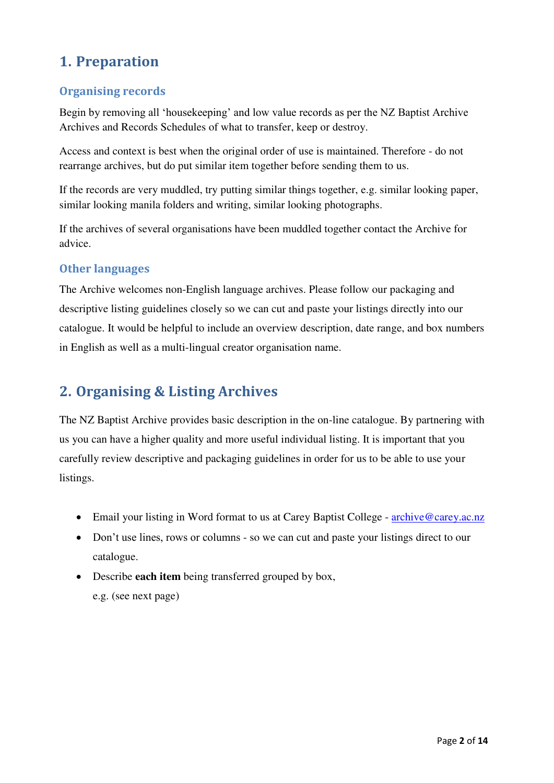## <span id="page-1-0"></span>**1. Preparation**

## **Organising records**

Begin by removing all 'housekeeping' and low value records as per the NZ Baptist Archive Archives and Records Schedules of what to transfer, keep or destroy.

Access and context is best when the original order of use is maintained. Therefore - do not rearrange archives, but do put similar item together before sending them to us.

If the records are very muddled, try putting similar things together, e.g. similar looking paper, similar looking manila folders and writing, similar looking photographs.

If the archives of several organisations have been muddled together contact the Archive for advice.

### **Other languages**

The Archive welcomes non-English language archives. Please follow our packaging and descriptive listing guidelines closely so we can cut and paste your listings directly into our catalogue. It would be helpful to include an overview description, date range, and box numbers in English as well as a multi-lingual creator organisation name.

## <span id="page-1-1"></span>**2. Organising & Listing Archives**

The NZ Baptist Archive provides basic description in the on-line catalogue. By partnering with us you can have a higher quality and more useful individual listing. It is important that you carefully review descriptive and packaging guidelines in order for us to be able to use your listings.

- Email your listing in Word format to us at Carey Baptist College - [archive@carey.ac.nz](mailto:archive@carey.ac.nz)
- Don't use lines, rows or columns so we can cut and paste your listings direct to our catalogue.
- Describe **each item** being transferred grouped by box,

e.g. (see next page)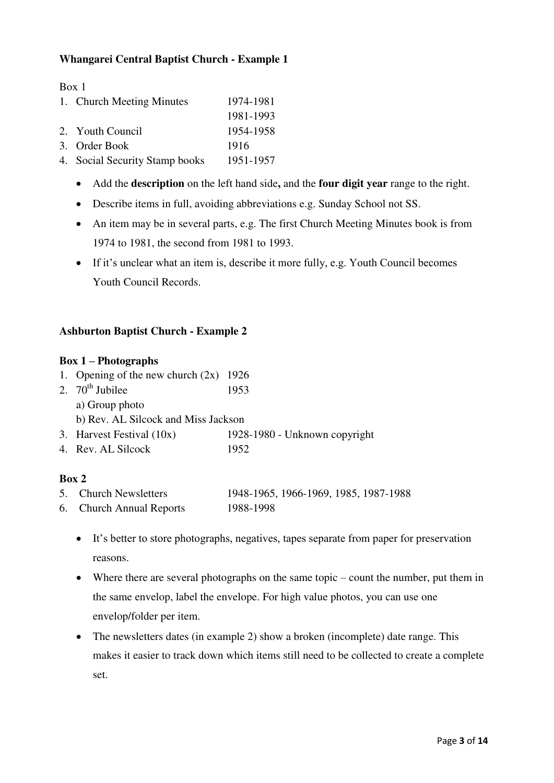### **Whangarei Central Baptist Church - Example 1**

Box 1

| 1. Church Meeting Minutes      | 1974-1981 |
|--------------------------------|-----------|
|                                | 1981-1993 |
| 2. Youth Council               | 1954-1958 |
| 3. Order Book                  | 1916      |
| 4. Social Security Stamp books | 1951-1957 |

- Add the **description** on the left hand side**,** and the **four digit year** range to the right.
- Describe items in full, avoiding abbreviations e.g. Sunday School not SS.
- An item may be in several parts, e.g. The first Church Meeting Minutes book is from 1974 to 1981, the second from 1981 to 1993.
- If it's unclear what an item is, describe it more fully, e.g. Youth Council becomes Youth Council Records.

#### **Ashburton Baptist Church - Example 2**

#### **Box 1 – Photographs**

| 1. Opening of the new church $(2x)$ 1926 |                               |
|------------------------------------------|-------------------------------|
| 2. $70^{\text{th}}$ Jubilee              | 1953                          |
| a) Group photo                           |                               |
| b) Rev. AL Silcock and Miss Jackson      |                               |
| 3. Harvest Festival $(10x)$              | 1928-1980 - Unknown copyright |
| 4. Rev. AL Silcock                       | 1952                          |

#### **Box 2**

| 5. Church Newsletters    | 1948-1965, 1966-1969, 1985, 1987-1988 |
|--------------------------|---------------------------------------|
| 6. Church Annual Reports | 1988-1998                             |

- - It's better to store photographs, negatives, tapes separate from paper for preservation reasons.
	- Where there are several photographs on the same topic count the number, put them in the same envelop, label the envelope. For high value photos, you can use one envelop/folder per item.
	- The newsletters dates (in example 2) show a broken (incomplete) date range. This makes it easier to track down which items still need to be collected to create a complete set.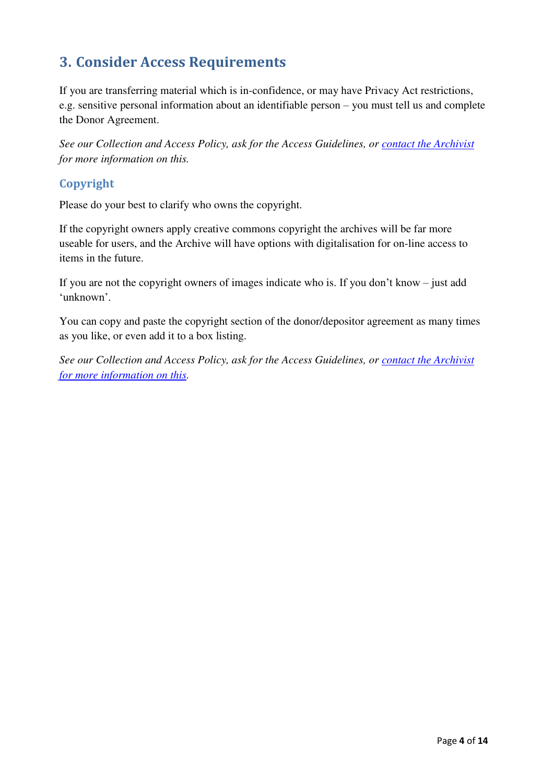## <span id="page-3-0"></span>**3. Consider Access Requirements**

If you are transferring material which is in-confidence, or may have Privacy Act restrictions, e.g. sensitive personal information about an identifiable person – you must tell us and complete the Donor Agreement.

*See our Collection and Access Policy, ask for the Access Guidelines, or [contact the Archivist](#page-0-0) for more information on this.* 

### **Copyright**

Please do your best to clarify who owns the copyright.

If the copyright owners apply creative commons copyright the archives will be far more useable for users, and the Archive will have options with digitalisation for on-line access to items in the future.

If you are not the copyright owners of images indicate who is. If you don't know – just add 'unknown'.

You can copy and paste the copyright section of the donor/depositor agreement as many times as you like, or even add it to a box listing.

<span id="page-3-1"></span>*See our Collection and Access Policy, ask for the Access Guidelines, or [contact the Archivist](#page-0-0)  [for more information on this.](#page-0-0)*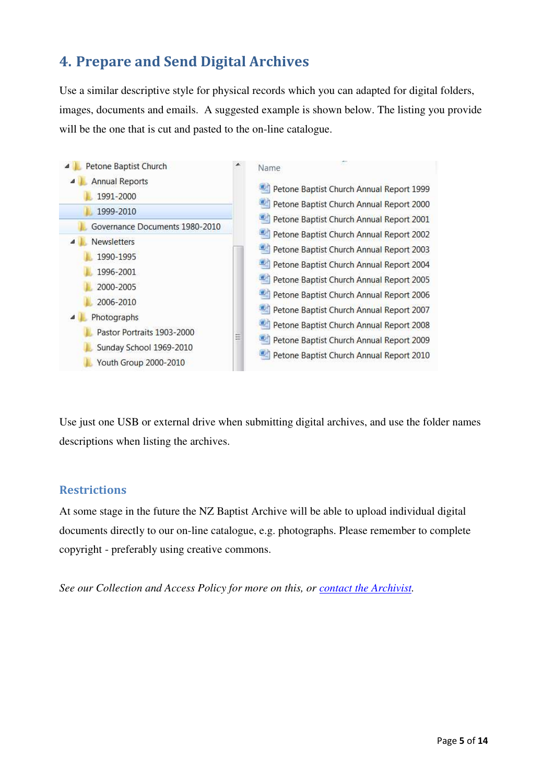## **4. Prepare and Send Digital Archives**

Use a similar descriptive style for physical records which you can adapted for digital folders, images, documents and emails. A suggested example is shown below. The listing you provide will be the one that is cut and pasted to the on-line catalogue.



Use just one USB or external drive when submitting digital archives, and use the folder names descriptions when listing the archives.

### **Restrictions**

At some stage in the future the NZ Baptist Archive will be able to upload individual digital documents directly to our on-line catalogue, e.g. photographs. Please remember to complete copyright - preferably using creative commons.

*See our Collection and Access Policy for more on this, or [contact the Archivist.](#page-0-0)*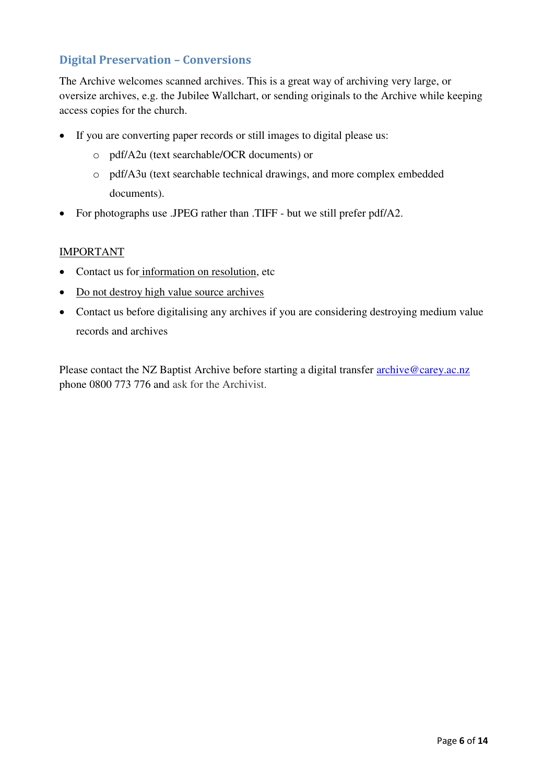### **Digital Preservation – Conversions**

The Archive welcomes scanned archives. This is a great way of archiving very large, or oversize archives, e.g. the Jubilee Wallchart, or sending originals to the Archive while keeping access copies for the church.

- If you are converting paper records or still images to digital please us:
	- o pdf/A2u (text searchable/OCR documents) or
	- o pdf/A3u (text searchable technical drawings, and more complex embedded documents).
- For photographs use .JPEG rather than .TIFF but we still prefer pdf/A2.

#### IMPORTANT

- Contact us for information on resolution, etc
- Do not destroy high value source archives
- Contact us before digitalising any archives if you are considering destroying medium value records and archives

<span id="page-5-0"></span>Please contact the NZ Baptist Archive before starting a digital transfer **archive@carey.ac.nz** phone 0800 773 776 and ask for the Archivist.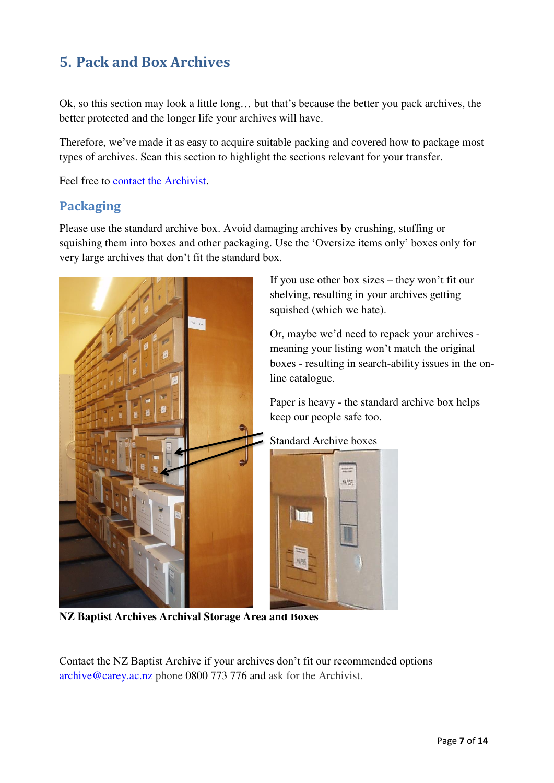## **5. Pack and Box Archives**

Ok, so this section may look a little long… but that's because the better you pack archives, the better protected and the longer life your archives will have.

Therefore, we've made it as easy to acquire suitable packing and covered how to package most types of archives. Scan this section to highlight the sections relevant for your transfer.

Feel free to [contact the Archivist.](#page-0-0)

## **Packaging**

Please use the standard archive box. Avoid damaging archives by crushing, stuffing or squishing them into boxes and other packaging. Use the 'Oversize items only' boxes only for very large archives that don't fit the standard box.



If you use other box sizes – they won't fit our shelving, resulting in your archives getting squished (which we hate).

Or, maybe we'd need to repack your archives meaning your listing won't match the original boxes - resulting in search-ability issues in the online catalogue.

Paper is heavy - the standard archive box helps keep our people safe too.

Standard Archive boxes



**NZ Baptist Archives Archival Storage Area and Boxes** 

Contact the NZ Baptist Archive if your archives don't fit our recommended options [archive@carey.ac.nz](mailto:archive@carey.ac.nz) phone 0800 773 776 and ask for the Archivist.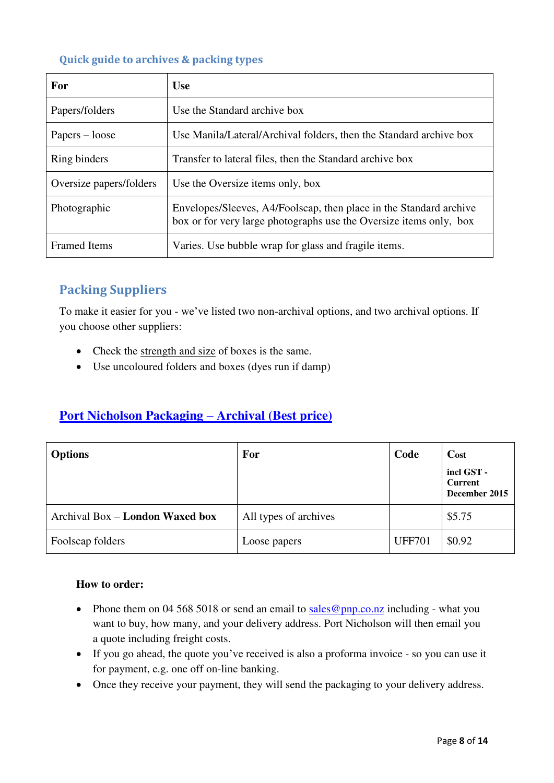### **Quick guide to archives & packing types**

| For                     | <b>Use</b>                                                                                                                               |
|-------------------------|------------------------------------------------------------------------------------------------------------------------------------------|
| Papers/folders          | Use the Standard archive box                                                                                                             |
| $Papers - loose$        | Use Manila/Lateral/Archival folders, then the Standard archive box                                                                       |
| Ring binders            | Transfer to lateral files, then the Standard archive box                                                                                 |
| Oversize papers/folders | Use the Oversize items only, box                                                                                                         |
| Photographic            | Envelopes/Sleeves, A4/Foolscap, then place in the Standard archive<br>box or for very large photographs use the Oversize items only, box |
| <b>Framed Items</b>     | Varies. Use bubble wrap for glass and fragile items.                                                                                     |

## **Packing Suppliers**

To make it easier for you - we've listed two non-archival options, and two archival options. If you choose other suppliers:

- Check the strength and size of boxes is the same.
- Use uncoloured folders and boxes (dyes run if damp)

## **[Port Nicholson Packaging](http://www.pnp.co.nz/index.php?main_page=index&cPath=1) – Archival (Best price)**

| <b>Options</b>                           | For                   | Code          | Cost                                          |
|------------------------------------------|-----------------------|---------------|-----------------------------------------------|
|                                          |                       |               | incl GST -<br><b>Current</b><br>December 2015 |
| Archival Box $-$ <b>London Waxed box</b> | All types of archives |               | \$5.75                                        |
| Foolscap folders                         | Loose papers          | <b>UFF701</b> | \$0.92                                        |

#### **How to order:**

- Phone them on 04 568 5018 or send an email to sales @pnp.co.nz including what you want to buy, how many, and your delivery address. Port Nicholson will then email you a quote including freight costs.
- If you go ahead, the quote you've received is also a proforma invoice so you can use it for payment, e.g. one off on-line banking.
- Once they receive your payment, they will send the packaging to your delivery address.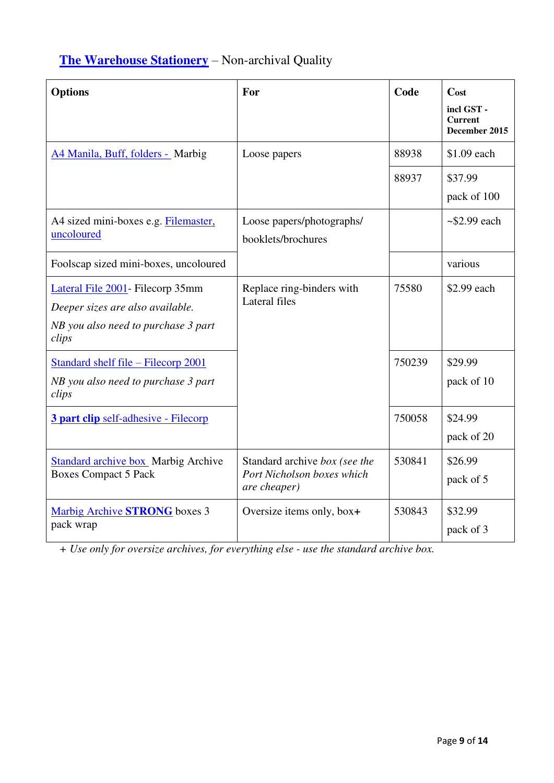## **[The Warehouse Stationery](http://www.warehousestationery.co.nz/is-bin/INTERSHOP.enfinity/WFS/WSL-B2C-Site/en_NZ/-/NZD/ViewStandardCatalog-Browse?CatalogCategoryID=1s8KBTFwtJcAAAEuhnJMp.T_)** – Non-archival Quality

| <b>Options</b>                                                                                                        | For                                                                         | Code   | Cost<br>incl GST-<br><b>Current</b><br>December 2015 |
|-----------------------------------------------------------------------------------------------------------------------|-----------------------------------------------------------------------------|--------|------------------------------------------------------|
| A4 Manila, Buff, folders - Marbig                                                                                     | Loose papers                                                                | 88938  | \$1.09 each                                          |
|                                                                                                                       |                                                                             | 88937  | \$37.99<br>pack of 100                               |
| A4 sized mini-boxes e.g. Filemaster,<br>uncoloured                                                                    | Loose papers/photographs/<br>booklets/brochures                             |        | $\sim$ \$2.99 each                                   |
| Foolscap sized mini-boxes, uncoloured                                                                                 |                                                                             |        | various                                              |
| Lateral File 2001 - Filecorp 35mm<br>Deeper sizes are also available.<br>NB you also need to purchase 3 part<br>clips | Replace ring-binders with<br>Lateral files                                  | 75580  | \$2.99 each                                          |
| Standard shelf file – Filecorp 2001<br>NB you also need to purchase 3 part<br>clips                                   |                                                                             | 750239 | \$29.99<br>pack of 10                                |
| 3 part clip self-adhesive - Filecorp                                                                                  |                                                                             | 750058 | \$24.99<br>pack of 20                                |
| <b>Standard archive box</b> Marbig Archive<br><b>Boxes Compact 5 Pack</b>                                             | Standard archive box (see the<br>Port Nicholson boxes which<br>are cheaper) | 530841 | \$26.99<br>pack of 5                                 |
| Marbig Archive <b>STRONG</b> boxes 3<br>pack wrap                                                                     | Oversize items only, box+                                                   | 530843 | \$32.99<br>pack of 3                                 |

*+ Use only for oversize archives, for everything else - use the standard archive box.*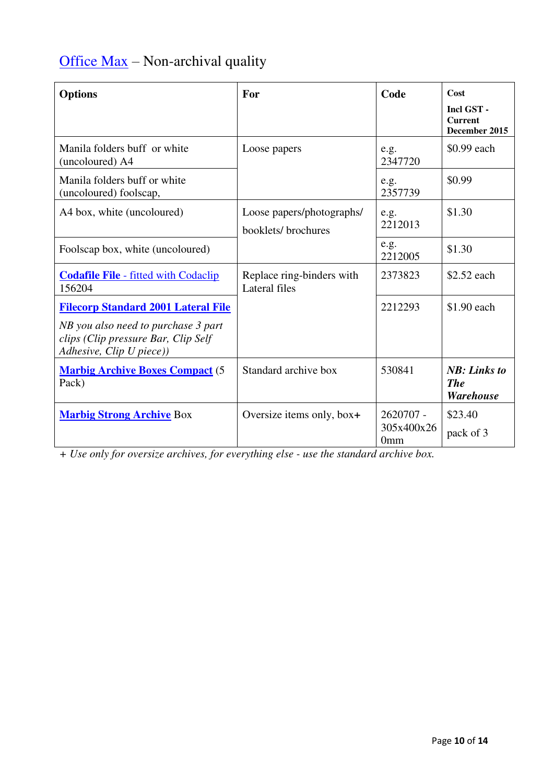# [Office Max](https://www.ordermax.co.nz/) - Non-archival quality

| <b>Options</b>                                                                                         | For                                             | Code                                       | Cost<br>Incl GST -<br><b>Current</b><br>December 2015  |
|--------------------------------------------------------------------------------------------------------|-------------------------------------------------|--------------------------------------------|--------------------------------------------------------|
| Manila folders buff or white<br>(uncoloured) A4                                                        | Loose papers                                    | e.g.<br>2347720                            | \$0.99 each                                            |
| Manila folders buff or white<br>(uncoloured) foolscap,                                                 |                                                 | e.g.<br>2357739                            | \$0.99                                                 |
| A4 box, white (uncoloured)                                                                             | Loose papers/photographs/<br>booklets/brochures | e.g.<br>2212013                            | \$1.30                                                 |
| Foolscap box, white (uncoloured)                                                                       |                                                 | e.g.<br>2212005                            | \$1.30                                                 |
| <b>Codafile File - fitted with Codaclip</b><br>156204                                                  | Replace ring-binders with<br>Lateral files      | 2373823                                    | \$2.52 each                                            |
| <b>Filecorp Standard 2001 Lateral File</b>                                                             |                                                 | 2212293                                    | \$1.90 each                                            |
| NB you also need to purchase 3 part<br>clips (Clip pressure Bar, Clip Self<br>Adhesive, Clip U piece)) |                                                 |                                            |                                                        |
| <b>Marbig Archive Boxes Compact (5)</b><br>Pack)                                                       | Standard archive box                            | 530841                                     | <b>NB</b> : Links to<br><b>The</b><br><b>Warehouse</b> |
| <b>Marbig Strong Archive Box</b>                                                                       | Oversize items only, box+                       | 2620707 -<br>305x400x26<br>0 <sub>mm</sub> | \$23.40<br>pack of 3                                   |

*+ Use only for oversize archives, for everything else - use the standard archive box.*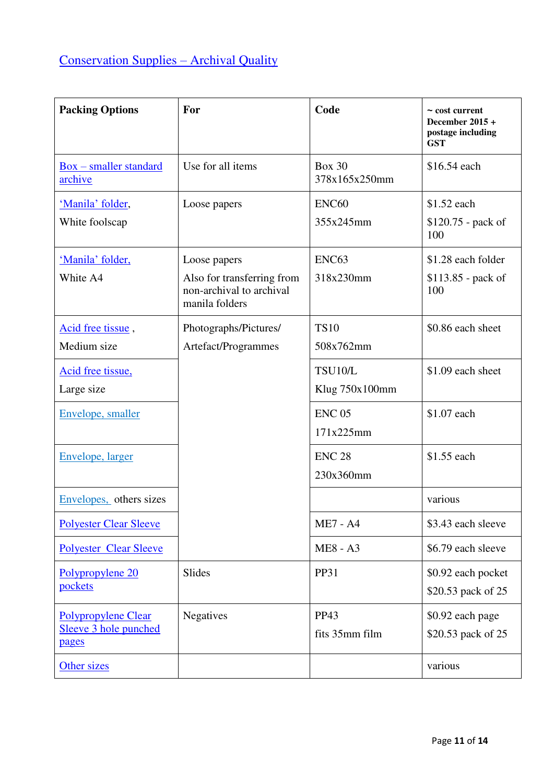| <b>Packing Options</b>                                       | For                                                                                      | Code                           | $\sim$ cost current<br>December 2015 +<br>postage including<br><b>GST</b> |
|--------------------------------------------------------------|------------------------------------------------------------------------------------------|--------------------------------|---------------------------------------------------------------------------|
| $Box$ – smaller standard<br>archive                          | Use for all items                                                                        | <b>Box 30</b><br>378x165x250mm | \$16.54 each                                                              |
| 'Manila' folder,<br>White foolscap                           | Loose papers                                                                             | ENC <sub>60</sub><br>355x245mm | \$1.52 each<br>\$120.75 - pack of<br>100                                  |
| 'Manila' folder,<br>White A4                                 | Loose papers<br>Also for transferring from<br>non-archival to archival<br>manila folders | ENC63<br>318x230mm             | \$1.28 each folder<br>$$113.85$ - pack of<br>100                          |
| Acid free tissue,<br>Medium size                             | Photographs/Pictures/<br>Artefact/Programmes                                             | <b>TS10</b><br>508x762mm       | \$0.86 each sheet                                                         |
| Acid free tissue,<br>Large size                              |                                                                                          | TSU10/L<br>Klug 750x100mm      | \$1.09 each sheet                                                         |
| Envelope, smaller                                            |                                                                                          | <b>ENC 05</b><br>171x225mm     | \$1.07 each                                                               |
| Envelope, larger                                             |                                                                                          | <b>ENC 28</b><br>230x360mm     | \$1.55 each                                                               |
| Envelopes, others sizes                                      |                                                                                          |                                | various                                                                   |
| <b>Polyester Clear Sleeve</b>                                |                                                                                          | <b>ME7 - A4</b>                | \$3.43 each sleeve                                                        |
| <b>Polyester Clear Sleeve</b>                                |                                                                                          | <b>ME8 - A3</b>                | \$6.79 each sleeve                                                        |
| Polypropylene 20<br>pockets                                  | Slides                                                                                   | <b>PP31</b>                    | \$0.92 each pocket<br>\$20.53 pack of 25                                  |
| <b>Polypropylene Clear</b><br>Sleeve 3 hole punched<br>pages | Negatives                                                                                | <b>PP43</b><br>fits 35mm film  | \$0.92 each page<br>\$20.53 pack of 25                                    |
| Other sizes                                                  |                                                                                          |                                | various                                                                   |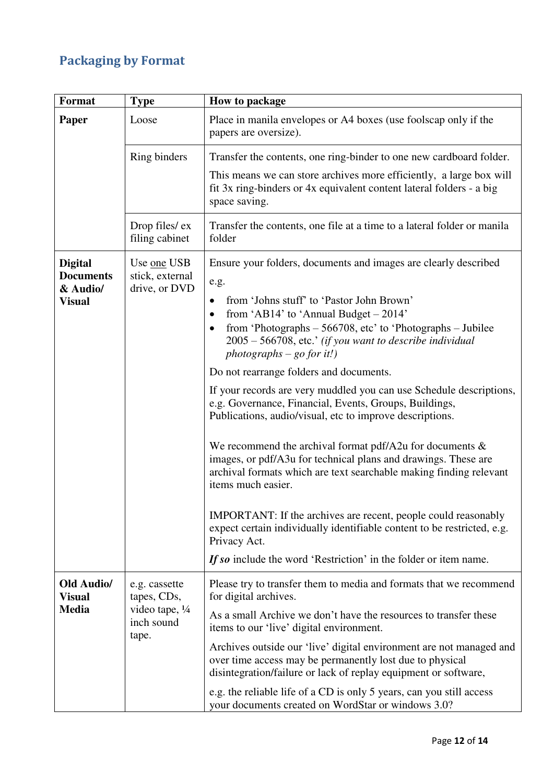## **Packaging by Format**

| Format                                         | <b>Type</b>                                     | How to package                                                                                                                                                                                                            |
|------------------------------------------------|-------------------------------------------------|---------------------------------------------------------------------------------------------------------------------------------------------------------------------------------------------------------------------------|
| Paper                                          | Loose                                           | Place in manila envelopes or A4 boxes (use foolscap only if the<br>papers are oversize).                                                                                                                                  |
|                                                | Ring binders                                    | Transfer the contents, one ring-binder to one new cardboard folder.                                                                                                                                                       |
|                                                |                                                 | This means we can store archives more efficiently, a large box will<br>fit 3x ring-binders or 4x equivalent content lateral folders - a big<br>space saving.                                                              |
|                                                | Drop files/ex<br>filing cabinet                 | Transfer the contents, one file at a time to a lateral folder or manila<br>folder                                                                                                                                         |
| <b>Digital</b><br><b>Documents</b><br>& Audio/ | Use one USB<br>stick, external<br>drive, or DVD | Ensure your folders, documents and images are clearly described<br>e.g.                                                                                                                                                   |
| <b>Visual</b>                                  |                                                 | from 'Johns stuff' to 'Pastor John Brown'<br>$\bullet$<br>from 'AB14' to 'Annual Budget - 2014'<br>٠                                                                                                                      |
|                                                |                                                 | from 'Photographs - 566708, etc' to 'Photographs - Jubilee<br>٠<br>2005 – 566708, etc.' (if you want to describe individual<br>$photographs - go for it!)$                                                                |
|                                                |                                                 | Do not rearrange folders and documents.                                                                                                                                                                                   |
|                                                |                                                 | If your records are very muddled you can use Schedule descriptions,<br>e.g. Governance, Financial, Events, Groups, Buildings,<br>Publications, audio/visual, etc to improve descriptions.                                 |
|                                                |                                                 | We recommend the archival format pdf/A2u for documents $\&$<br>images, or pdf/A3u for technical plans and drawings. These are<br>archival formats which are text searchable making finding relevant<br>items much easier. |
|                                                |                                                 | IMPORTANT: If the archives are recent, people could reasonably<br>expect certain individually identifiable content to be restricted, e.g.<br>Privacy Act.                                                                 |
|                                                |                                                 | If so include the word 'Restriction' in the folder or item name.                                                                                                                                                          |
| <b>Old Audio/</b><br><b>Visual</b>             | e.g. cassette<br>tapes, CDs,                    | Please try to transfer them to media and formats that we recommend<br>for digital archives.                                                                                                                               |
| <b>Media</b>                                   | video tape, 1/4<br>inch sound<br>tape.          | As a small Archive we don't have the resources to transfer these<br>items to our 'live' digital environment.                                                                                                              |
|                                                |                                                 | Archives outside our 'live' digital environment are not managed and<br>over time access may be permanently lost due to physical<br>disintegration/failure or lack of replay equipment or software,                        |
|                                                |                                                 | e.g. the reliable life of a CD is only 5 years, can you still access<br>your documents created on WordStar or windows 3.0?                                                                                                |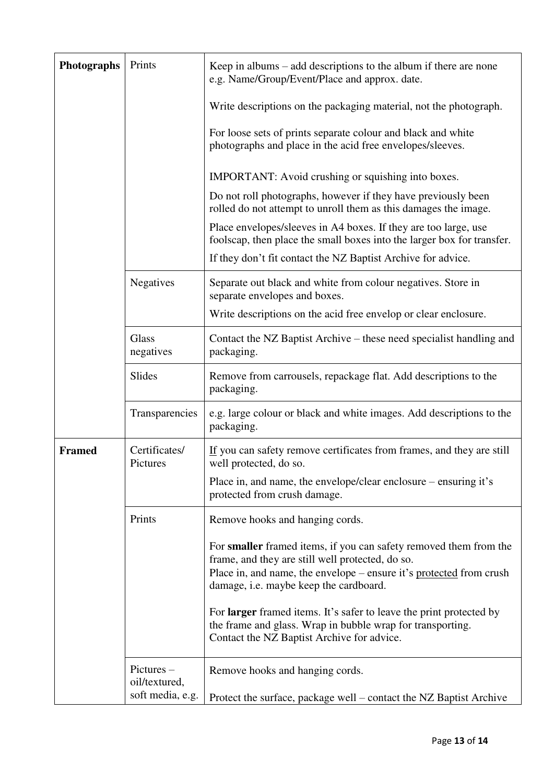| Photographs   | Prints                      | Keep in albums $-$ add descriptions to the album if there are none<br>e.g. Name/Group/Event/Place and approx. date.                                                                                                                    |
|---------------|-----------------------------|----------------------------------------------------------------------------------------------------------------------------------------------------------------------------------------------------------------------------------------|
|               |                             | Write descriptions on the packaging material, not the photograph.                                                                                                                                                                      |
|               |                             | For loose sets of prints separate colour and black and white<br>photographs and place in the acid free envelopes/sleeves.                                                                                                              |
|               |                             | <b>IMPORTANT:</b> Avoid crushing or squishing into boxes.                                                                                                                                                                              |
|               |                             | Do not roll photographs, however if they have previously been<br>rolled do not attempt to unroll them as this damages the image.                                                                                                       |
|               |                             | Place envelopes/sleeves in A4 boxes. If they are too large, use<br>foolscap, then place the small boxes into the larger box for transfer.                                                                                              |
|               |                             | If they don't fit contact the NZ Baptist Archive for advice.                                                                                                                                                                           |
|               | <b>Negatives</b>            | Separate out black and white from colour negatives. Store in<br>separate envelopes and boxes.                                                                                                                                          |
|               |                             | Write descriptions on the acid free envelop or clear enclosure.                                                                                                                                                                        |
|               | Glass<br>negatives          | Contact the NZ Baptist Archive – these need specialist handling and<br>packaging.                                                                                                                                                      |
|               | Slides                      | Remove from carrousels, repackage flat. Add descriptions to the<br>packaging.                                                                                                                                                          |
|               | Transparencies              | e.g. large colour or black and white images. Add descriptions to the<br>packaging.                                                                                                                                                     |
| <b>Framed</b> | Certificates/<br>Pictures   | If you can safety remove certificates from frames, and they are still<br>well protected, do so.                                                                                                                                        |
|               |                             | Place in, and name, the envelope/clear enclosure – ensuring it's<br>protected from crush damage.                                                                                                                                       |
|               | Prints                      | Remove hooks and hanging cords.                                                                                                                                                                                                        |
|               |                             | For smaller framed items, if you can safety removed them from the<br>frame, and they are still well protected, do so.<br>Place in, and name, the envelope – ensure it's protected from crush<br>damage, i.e. maybe keep the cardboard. |
|               |                             | For <b>larger</b> framed items. It's safer to leave the print protected by<br>the frame and glass. Wrap in bubble wrap for transporting.<br>Contact the NZ Baptist Archive for advice.                                                 |
|               | Pictures –<br>oil/textured, | Remove hooks and hanging cords.                                                                                                                                                                                                        |
|               | soft media, e.g.            | Protect the surface, package well – contact the NZ Baptist Archive                                                                                                                                                                     |